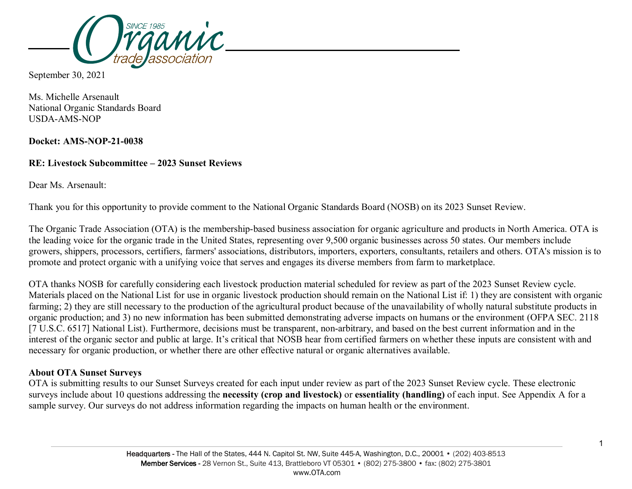

September 30, 2021

Ms. Michelle Arsenault National Organic Standards Board USDA-AMS-NOP

**Docket: AMS-NOP-21-0038**

## **RE: Livestock Subcommittee – 2023 Sunset Reviews**

Dear Ms. Arsenault:

Thank you for this opportunity to provide comment to the National Organic Standards Board (NOSB) on its 2023 Sunset Review.

The Organic Trade Association (OTA) is the membership-based business association for organic agriculture and products in North America. OTA is the leading voice for the organic trade in the United States, representing over 9,500 organic businesses across 50 states. Our members include growers, shippers, processors, certifiers, farmers' associations, distributors, importers, exporters, consultants, retailers and others. OTA's mission is to promote and protect organic with a unifying voice that serves and engages its diverse members from farm to marketplace.

OTA thanks NOSB for carefully considering each livestock production material scheduled for review as part of the 2023 Sunset Review cycle. Materials placed on the National List for use in organic livestock production should remain on the National List if: 1) they are consistent with organic farming; 2) they are still necessary to the production of the agricultural product because of the unavailability of wholly natural substitute products in organic production; and 3) no new information has been submitted demonstrating adverse impacts on humans or the environment (OFPA SEC. 2118 [7 U.S.C. 6517] National List). Furthermore, decisions must be transparent, non-arbitrary, and based on the best current information and in the interest of the organic sector and public at large. It's critical that NOSB hear from certified farmers on whether these inputs are consistent with and necessary for organic production, or whether there are other effective natural or organic alternatives available.

## **About OTA Sunset Surveys**

OTA is submitting results to our Sunset Surveys created for each input under review as part of the 2023 Sunset Review cycle. These electronic surveys include about 10 questions addressing the **necessity (crop and livestock)** or **essentiality (handling)** of each input. See Appendix A for a sample survey. Our surveys do not address information regarding the impacts on human health or the environment.

1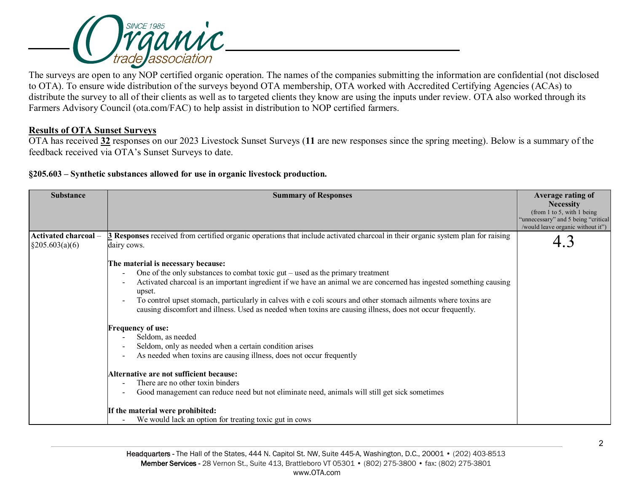

The surveys are open to any NOP certified organic operation. The names of the companies submitting the information are confidential (not disclosed to OTA). To ensure wide distribution of the surveys beyond OTA membership, OTA worked with Accredited Certifying Agencies (ACAs) to distribute the survey to all of their clients as well as to targeted clients they know are using the inputs under review. OTA also worked through its Farmers Advisory Council (ota.com/FAC) to help assist in distribution to NOP certified farmers.

## **Results of OTA Sunset Surveys**

OTA has received **32** responses on our 2023 Livestock Sunset Surveys (**11** are new responses since the spring meeting). Below is a summary of the feedback received via OTA's Sunset Surveys to date.

**§205.603 – Synthetic substances allowed for use in organic livestock production.** 

| <b>Substance</b>                                  | <b>Summary of Responses</b>                                                                                                                           | Average rating of                               |
|---------------------------------------------------|-------------------------------------------------------------------------------------------------------------------------------------------------------|-------------------------------------------------|
|                                                   |                                                                                                                                                       | <b>Necessity</b><br>(from 1 to 5, with 1 being) |
|                                                   |                                                                                                                                                       | "unnecessary" and 5 being "critical             |
|                                                   |                                                                                                                                                       | /would leave organic without it")               |
| <b>Activated charcoal</b> -<br>$\S 205.603(a)(6)$ | <b>3</b> Responses received from certified organic operations that include activated charcoal in their organic system plan for raising<br>dairy cows. |                                                 |
|                                                   | The material is necessary because:                                                                                                                    |                                                 |
|                                                   | One of the only substances to combat toxic $gut - used$ as the primary treatment                                                                      |                                                 |
|                                                   | Activated charcoal is an important ingredient if we have an animal we are concerned has ingested something causing<br>upset.                          |                                                 |
|                                                   | To control upset stomach, particularly in calves with e coli scours and other stomach ailments where toxins are                                       |                                                 |
|                                                   | causing discomfort and illness. Used as needed when toxins are causing illness, does not occur frequently.                                            |                                                 |
|                                                   | <b>Frequency of use:</b>                                                                                                                              |                                                 |
|                                                   | Seldom, as needed                                                                                                                                     |                                                 |
|                                                   | Seldom, only as needed when a certain condition arises                                                                                                |                                                 |
|                                                   | As needed when toxins are causing illness, does not occur frequently                                                                                  |                                                 |
|                                                   | Alternative are not sufficient because:                                                                                                               |                                                 |
|                                                   | There are no other toxin binders                                                                                                                      |                                                 |
|                                                   | Good management can reduce need but not eliminate need, animals will still get sick sometimes                                                         |                                                 |
|                                                   | If the material were prohibited:                                                                                                                      |                                                 |
|                                                   | We would lack an option for treating toxic gut in cows                                                                                                |                                                 |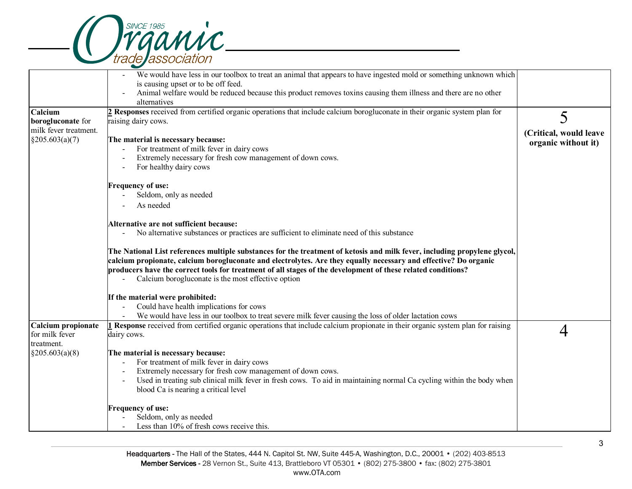

|                       | We would have less in our toolbox to treat an animal that appears to have ingested mold or something unknown which                    |                        |
|-----------------------|---------------------------------------------------------------------------------------------------------------------------------------|------------------------|
|                       | is causing upset or to be off feed.                                                                                                   |                        |
|                       | Animal welfare would be reduced because this product removes toxins causing them illness and there are no other                       |                        |
|                       | alternatives                                                                                                                          |                        |
| Calcium               | 2 Responses received from certified organic operations that include calcium borogluconate in their organic system plan for            | 5                      |
| borogluconate for     | raising dairy cows.                                                                                                                   |                        |
| milk fever treatment. |                                                                                                                                       | (Critical, would leave |
| $\S 205.603(a)(7)$    | The material is necessary because:                                                                                                    | organic without it)    |
|                       | For treatment of milk fever in dairy cows                                                                                             |                        |
|                       | Extremely necessary for fresh cow management of down cows.                                                                            |                        |
|                       | For healthy dairy cows                                                                                                                |                        |
|                       | <b>Frequency of use:</b>                                                                                                              |                        |
|                       | Seldom, only as needed                                                                                                                |                        |
|                       | As needed                                                                                                                             |                        |
|                       | Alternative are not sufficient because:                                                                                               |                        |
|                       | No alternative substances or practices are sufficient to eliminate need of this substance                                             |                        |
|                       |                                                                                                                                       |                        |
|                       | The National List references multiple substances for the treatment of ketosis and milk fever, including propylene glycol,             |                        |
|                       | calcium propionate, calcium borogluconate and electrolytes. Are they equally necessary and effective? Do organic                      |                        |
|                       | producers have the correct tools for treatment of all stages of the development of these related conditions?                          |                        |
|                       | Calcium borogluconate is the most effective option                                                                                    |                        |
|                       | If the material were prohibited:                                                                                                      |                        |
|                       | Could have health implications for cows                                                                                               |                        |
|                       | We would have less in our toolbox to treat severe milk fever causing the loss of older lactation cows                                 |                        |
| Calcium propionate    | <b>I Response</b> received from certified organic operations that include calcium propionate in their organic system plan for raising |                        |
| for milk fever        | dairy cows.                                                                                                                           |                        |
| treatment.            |                                                                                                                                       |                        |
| $\S 205.603(a)(8)$    | The material is necessary because:                                                                                                    |                        |
|                       | For treatment of milk fever in dairy cows                                                                                             |                        |
|                       | Extremely necessary for fresh cow management of down cows.                                                                            |                        |
|                       | Used in treating sub clinical milk fever in fresh cows. To aid in maintaining normal Ca cycling within the body when                  |                        |
|                       | blood Ca is nearing a critical level                                                                                                  |                        |
|                       | <b>Frequency of use:</b>                                                                                                              |                        |
|                       | Seldom, only as needed                                                                                                                |                        |
|                       | Less than 10% of fresh cows receive this.                                                                                             |                        |
|                       |                                                                                                                                       |                        |

3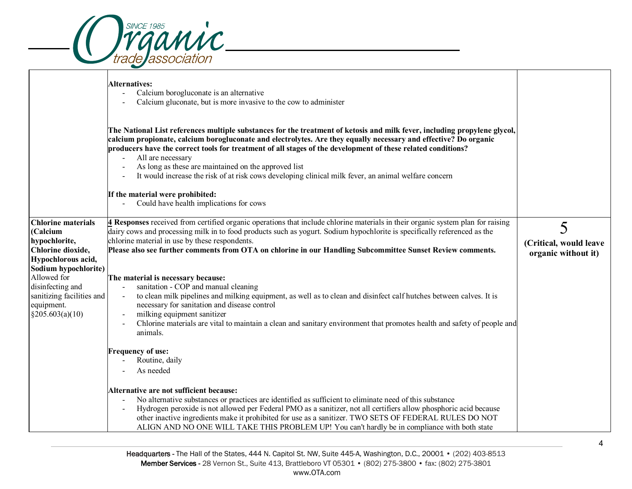

|                                                                                                                           | <b>Alternatives:</b><br>Calcium borogluconate is an alternative<br>$\blacksquare$<br>Calcium gluconate, but is more invasive to the cow to administer                                                                                                                                                                                                                                                                                                                                                          |                                                    |
|---------------------------------------------------------------------------------------------------------------------------|----------------------------------------------------------------------------------------------------------------------------------------------------------------------------------------------------------------------------------------------------------------------------------------------------------------------------------------------------------------------------------------------------------------------------------------------------------------------------------------------------------------|----------------------------------------------------|
|                                                                                                                           | The National List references multiple substances for the treatment of ketosis and milk fever, including propylene glycol,<br>calcium propionate, calcium borogluconate and electrolytes. Are they equally necessary and effective? Do organic<br>producers have the correct tools for treatment of all stages of the development of these related conditions?<br>All are necessary<br>As long as these are maintained on the approved list                                                                     |                                                    |
|                                                                                                                           | It would increase the risk of at risk cows developing clinical milk fever, an animal welfare concern<br>If the material were prohibited:<br>Could have health implications for cows                                                                                                                                                                                                                                                                                                                            |                                                    |
| <b>Chlorine materials</b><br>(Calcium<br>hypochlorite,<br>Chlorine dioxide,<br>Hypochlorous acid,<br>Sodium hypochlorite) | 4 Responses received from certified organic operations that include chlorine materials in their organic system plan for raising<br>dairy cows and processing milk in to food products such as yogurt. Sodium hypochlorite is specifically referenced as the<br>chlorine material in use by these respondents.<br>Please also see further comments from OTA on chlorine in our Handling Subcommittee Sunset Review comments.                                                                                    | 5<br>(Critical, would leave<br>organic without it) |
| Allowed for<br>disinfecting and<br>sanitizing facilities and<br>equipment.<br>§205.603(a)(10)                             | The material is necessary because:<br>sanitation - COP and manual cleaning<br>to clean milk pipelines and milking equipment, as well as to clean and disinfect calf hutches between calves. It is<br>necessary for sanitation and disease control<br>milking equipment sanitizer<br>Chlorine materials are vital to maintain a clean and sanitary environment that promotes health and safety of people and<br>animals.                                                                                        |                                                    |
|                                                                                                                           | <b>Frequency of use:</b><br>Routine, daily<br>As needed                                                                                                                                                                                                                                                                                                                                                                                                                                                        |                                                    |
|                                                                                                                           | Alternative are not sufficient because:<br>No alternative substances or practices are identified as sufficient to eliminate need of this substance<br>Hydrogen peroxide is not allowed per Federal PMO as a sanitizer, not all certifiers allow phosphoric acid because<br>$\overline{\phantom{a}}$<br>other inactive ingredients make it prohibited for use as a sanitizer. TWO SETS OF FEDERAL RULES DO NOT<br>ALIGN AND NO ONE WILL TAKE THIS PROBLEM UP! You can't hardly be in compliance with both state |                                                    |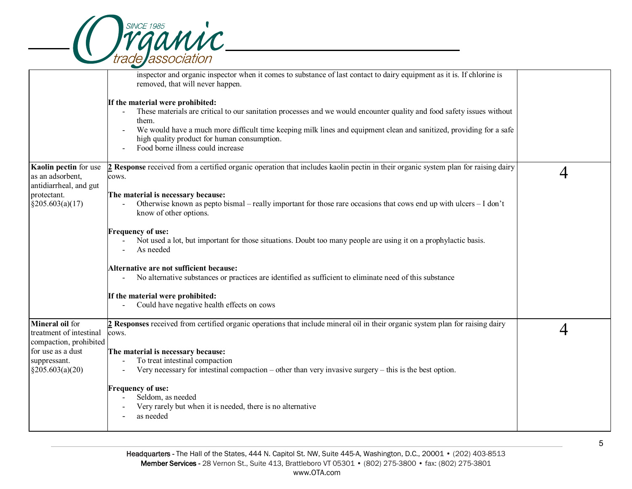

|                                                                      | inspector and organic inspector when it comes to substance of last contact to dairy equipment as it is. If chlorine is<br>removed, that will never happen.                                                                                                                                                                                                                               |   |
|----------------------------------------------------------------------|------------------------------------------------------------------------------------------------------------------------------------------------------------------------------------------------------------------------------------------------------------------------------------------------------------------------------------------------------------------------------------------|---|
|                                                                      | If the material were prohibited:<br>These materials are critical to our sanitation processes and we would encounter quality and food safety issues without<br>$\sim$<br>them.<br>We would have a much more difficult time keeping milk lines and equipment clean and sanitized, providing for a safe<br>high quality product for human consumption.<br>Food borne illness could increase |   |
| Kaolin pectin for use<br>as an adsorbent,<br>antidiarrheal, and gut  | 2 Response received from a certified organic operation that includes kaolin pectin in their organic system plan for raising dairy<br>cows.                                                                                                                                                                                                                                               | 4 |
| protectant.<br>§205.603(a)(17)                                       | The material is necessary because:<br>Otherwise known as pepto bismal – really important for those rare occasions that cows end up with ulcers – I don't<br>know of other options.                                                                                                                                                                                                       |   |
|                                                                      | <b>Frequency of use:</b><br>Not used a lot, but important for those situations. Doubt too many people are using it on a prophylactic basis.<br>As needed                                                                                                                                                                                                                                 |   |
|                                                                      | Alternative are not sufficient because:<br>No alternative substances or practices are identified as sufficient to eliminate need of this substance                                                                                                                                                                                                                                       |   |
|                                                                      | If the material were prohibited:<br>Could have negative health effects on cows                                                                                                                                                                                                                                                                                                           |   |
| Mineral oil for<br>treatment of intestinal<br>compaction, prohibited | 2 Responses received from certified organic operations that include mineral oil in their organic system plan for raising dairy<br>cows.                                                                                                                                                                                                                                                  | 4 |
| for use as a dust<br>suppressant.<br>$\S 205.603(a)(20)$             | The material is necessary because:<br>To treat intestinal compaction<br>Very necessary for intestinal compaction – other than very invasive surgery – this is the best option.                                                                                                                                                                                                           |   |
|                                                                      | <b>Frequency of use:</b><br>Seldom, as needed<br>Very rarely but when it is needed, there is no alternative<br>as needed                                                                                                                                                                                                                                                                 |   |
|                                                                      |                                                                                                                                                                                                                                                                                                                                                                                          |   |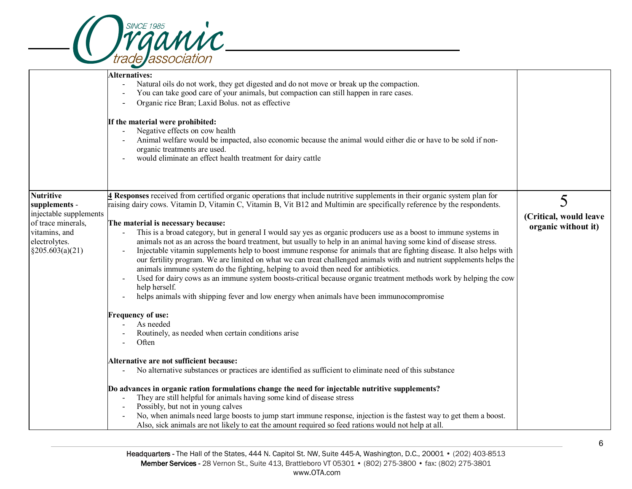

.

|                                                       | <b>Alternatives:</b><br>Natural oils do not work, they get digested and do not move or break up the compaction.<br>$\overline{\phantom{a}}$<br>You can take good care of your animals, but compaction can still happen in rare cases.<br>Organic rice Bran; Laxid Bolus. not as effective<br>If the material were prohibited:<br>Negative effects on cow health<br>Animal welfare would be impacted, also economic because the animal would either die or have to be sold if non-<br>organic treatments are used.<br>would eliminate an effect health treatment for dairy cattle                                                                                                                                                                                                                                   |                        |
|-------------------------------------------------------|--------------------------------------------------------------------------------------------------------------------------------------------------------------------------------------------------------------------------------------------------------------------------------------------------------------------------------------------------------------------------------------------------------------------------------------------------------------------------------------------------------------------------------------------------------------------------------------------------------------------------------------------------------------------------------------------------------------------------------------------------------------------------------------------------------------------|------------------------|
| <b>Nutritive</b>                                      | 4 Responses received from certified organic operations that include nutritive supplements in their organic system plan for                                                                                                                                                                                                                                                                                                                                                                                                                                                                                                                                                                                                                                                                                         | 5                      |
| supplements -<br>injectable supplements               | raising dairy cows. Vitamin D, Vitamin C, Vitamin B, Vit B12 and Multimin are specifically reference by the respondents.                                                                                                                                                                                                                                                                                                                                                                                                                                                                                                                                                                                                                                                                                           |                        |
| of trace minerals,                                    | The material is necessary because:                                                                                                                                                                                                                                                                                                                                                                                                                                                                                                                                                                                                                                                                                                                                                                                 | (Critical, would leave |
| vitamins, and<br>electrolytes.<br>$\S 205.603(a)(21)$ | This is a broad category, but in general I would say yes as organic producers use as a boost to immune systems in<br>animals not as an across the board treatment, but usually to help in an animal having some kind of disease stress.<br>Injectable vitamin supplements help to boost immune response for animals that are fighting disease. It also helps with<br>our fertility program. We are limited on what we can treat challenged animals with and nutrient supplements helps the<br>animals immune system do the fighting, helping to avoid then need for antibiotics.<br>Used for dairy cows as an immune system boosts-critical because organic treatment methods work by helping the cow<br>help herself.<br>helps animals with shipping fever and low energy when animals have been immunocompromise | organic without it)    |
|                                                       | <b>Frequency of use:</b>                                                                                                                                                                                                                                                                                                                                                                                                                                                                                                                                                                                                                                                                                                                                                                                           |                        |
|                                                       | As needed<br>Routinely, as needed when certain conditions arise<br>Often                                                                                                                                                                                                                                                                                                                                                                                                                                                                                                                                                                                                                                                                                                                                           |                        |
|                                                       | Alternative are not sufficient because:<br>No alternative substances or practices are identified as sufficient to eliminate need of this substance                                                                                                                                                                                                                                                                                                                                                                                                                                                                                                                                                                                                                                                                 |                        |
|                                                       | Do advances in organic ration formulations change the need for injectable nutritive supplements?<br>They are still helpful for animals having some kind of disease stress<br>Possibly, but not in young calves<br>No, when animals need large boosts to jump start immune response, injection is the fastest way to get them a boost.<br>Also, sick animals are not likely to eat the amount required so feed rations would not help at all.                                                                                                                                                                                                                                                                                                                                                                       |                        |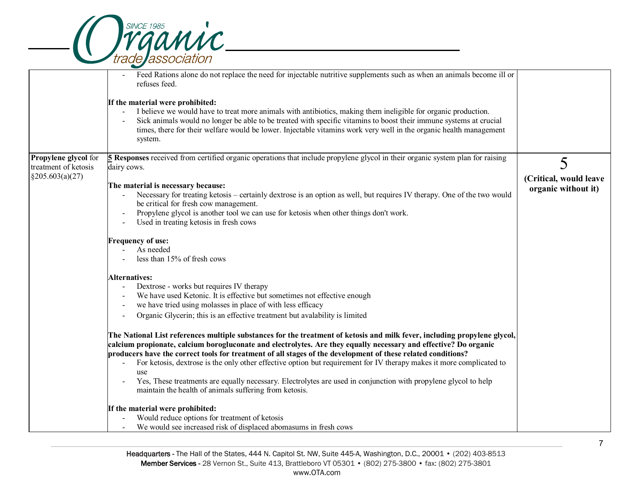|  | <b>SINCF 1985</b> |                          | raanic |
|--|-------------------|--------------------------|--------|
|  |                   |                          |        |
|  |                   | <i>trade association</i> |        |

.

|                                              | Feed Rations alone do not replace the need for injectable nutritive supplements such as when an animals become ill or<br>refuses feed.<br>If the material were prohibited:<br>I believe we would have to treat more animals with antibiotics, making them ineligible for organic production.<br>Sick animals would no longer be able to be treated with specific vitamins to boost their immune systems at crucial<br>times, there for their welfare would be lower. Injectable vitamins work very well in the organic health management<br>system.                                                                                                                       |                                               |
|----------------------------------------------|---------------------------------------------------------------------------------------------------------------------------------------------------------------------------------------------------------------------------------------------------------------------------------------------------------------------------------------------------------------------------------------------------------------------------------------------------------------------------------------------------------------------------------------------------------------------------------------------------------------------------------------------------------------------------|-----------------------------------------------|
| Propylene glycol for<br>treatment of ketosis | 5 Responses received from certified organic operations that include propylene glycol in their organic system plan for raising<br>dairy cows.                                                                                                                                                                                                                                                                                                                                                                                                                                                                                                                              | 5                                             |
| $\S 205.603(a)(27)$                          | The material is necessary because:<br>Necessary for treating ketosis - certainly dextrose is an option as well, but requires IV therapy. One of the two would<br>be critical for fresh cow management.<br>Propylene glycol is another tool we can use for ketosis when other things don't work.<br>Used in treating ketosis in fresh cows                                                                                                                                                                                                                                                                                                                                 | (Critical, would leave<br>organic without it) |
|                                              | <b>Frequency of use:</b><br>As needed<br>less than 15% of fresh cows                                                                                                                                                                                                                                                                                                                                                                                                                                                                                                                                                                                                      |                                               |
|                                              | <b>Alternatives:</b><br>Dextrose - works but requires IV therapy<br>We have used Ketonic. It is effective but sometimes not effective enough<br>we have tried using molasses in place of with less efficacy<br>Organic Glycerin; this is an effective treatment but avalability is limited                                                                                                                                                                                                                                                                                                                                                                                |                                               |
|                                              | The National List references multiple substances for the treatment of ketosis and milk fever, including propylene glycol,<br>calcium propionate, calcium borogluconate and electrolytes. Are they equally necessary and effective? Do organic<br>producers have the correct tools for treatment of all stages of the development of these related conditions?<br>For ketosis, dextrose is the only other effective option but requirement for IV therapy makes it more complicated to<br>use<br>Yes, These treatments are equally necessary. Electrolytes are used in conjunction with propylene glycol to help<br>maintain the health of animals suffering from ketosis. |                                               |
|                                              | If the material were prohibited:<br>Would reduce options for treatment of ketosis<br>We would see increased risk of displaced abomasums in fresh cows                                                                                                                                                                                                                                                                                                                                                                                                                                                                                                                     |                                               |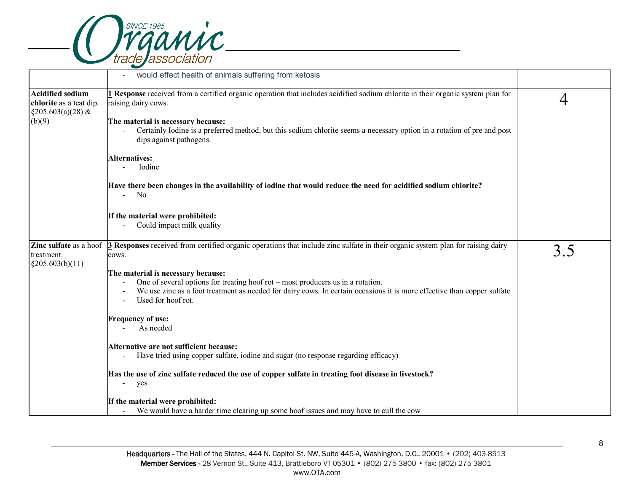

|                                                                             | would effect health of animals suffering from ketosis                                                                                                                                                                                                                  |                |
|-----------------------------------------------------------------------------|------------------------------------------------------------------------------------------------------------------------------------------------------------------------------------------------------------------------------------------------------------------------|----------------|
| <b>Acidified sodium</b><br>chlorite as a teat dip.<br>$\S 205.603(a)(28)$ & | <b>I</b> Response received from a certified organic operation that includes acidified sodium chlorite in their organic system plan for<br>raising dairy cows.                                                                                                          | $\overline{4}$ |
| (b)(9)                                                                      | The material is necessary because:<br>Certainly Iodine is a preferred method, but this sodium chlorite seems a necessary option in a rotation of pre and post<br>dips against pathogens.                                                                               |                |
|                                                                             | <b>Alternatives:</b><br>Iodine                                                                                                                                                                                                                                         |                |
|                                                                             | Have there been changes in the availability of iodine that would reduce the need for acidified sodium chlorite?<br>$-$ No                                                                                                                                              |                |
|                                                                             | If the material were prohibited:<br>Could impact milk quality                                                                                                                                                                                                          |                |
| Zinc sulfate as a hoof<br>treatment.<br>§205.603(b)(11)                     | 3 Responses received from certified organic operations that include zinc sulfate in their organic system plan for raising dairy<br>cows.                                                                                                                               | 3.5            |
|                                                                             | The material is necessary because:<br>One of several options for treating hoof rot – most producers us in a rotation.<br>We use zinc as a foot treatment as needed for dairy cows. In certain occasions it is more effective than copper sulfate<br>Used for hoof rot. |                |
|                                                                             | <b>Frequency of use:</b><br>As needed                                                                                                                                                                                                                                  |                |
|                                                                             | Alternative are not sufficient because:<br>Have tried using copper sulfate, iodine and sugar (no response regarding efficacy)                                                                                                                                          |                |
|                                                                             | Has the use of zinc sulfate reduced the use of copper sulfate in treating foot disease in livestock?<br>$\overline{\phantom{a}}$<br>yes                                                                                                                                |                |
|                                                                             | If the material were prohibited:<br>We would have a harder time clearing up some hoof issues and may have to cull the cow<br>$\sim$                                                                                                                                    |                |

8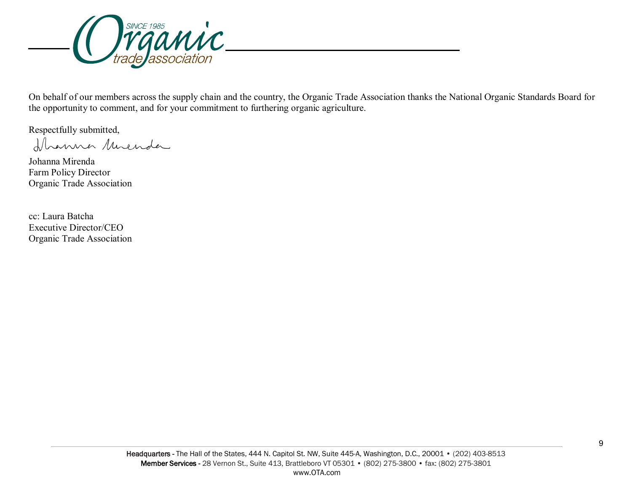

On behalf of our members across the supply chain and the country, the Organic Trade Association thanks the National Organic Standards Board for the opportunity to comment, and for your commitment to furthering organic agriculture.

Respectfully submitted,<br>Ilmanner Muender

Johanna Mirenda Farm Policy Director Organic Trade Association

cc: Laura Batcha Executive Director/CEO Organic Trade Association